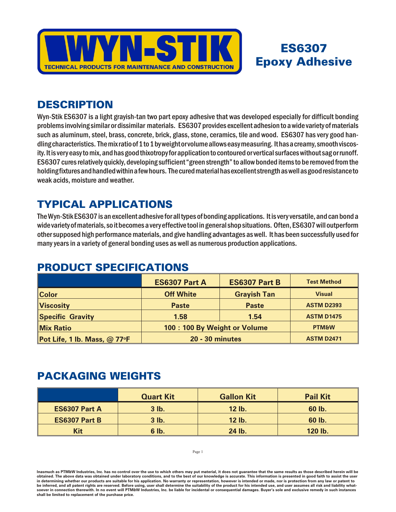

# ES6307 **Epoxy Adhesive**

### **DESCRIPTION**

Wyn-Stik ES6307 is a light grayish-tan two part epoxy adhesive that was developed especially for difficult bonding problems involving similar or dissimilar materials. ES6307 provides excellent adhesion to a wide variety of materials such as aluminum, steel, brass, concrete, brick, glass, stone, ceramics, tile and wood. ES6307 has very good handling characteristics. The mix ratio of 1 to 1 by weight or volume allows easy measuring. It has a creamy, smooth viscosity. It is very easy to mix, and has good thixotropy for application to contoured or vertical surfaces without sag or runoff. ES6307 cures relatively quickly, developing sufficient "green strength" to allow bonded items to be removed from the holding fixtures and handled within a few hours. The cured material has excellent strength as well as good resistance to weak acids, moisture and weather.

## **TYPICAL APPLICATIONS**

The Wyn-Stik ES6307 is an excellent adhesive for all types of bonding applications. It is very versatile, and can bond a wide variety of materials, so it becomes a very effective tool in general shop situations. Often, ES6307 will outperform other supposed high performance materials, and give handling advantages as well. It has been successfully used for many years in a variety of general bonding uses as well as numerous production applications.

### **ES6307 Part A ES6307 Part B Test Method Color Off White Gray ish Tan Vi sual Vis cos ity Paste Paste ASTM D2393 Specific Gravity 1.58 1.54 ASTM D1475 Mix Ra tio 100 : 100 By Weight or Volume PTM&W Pot Life, 1 lb. Mass, @ 77oF 20 - 30 minutes ASTM D2471**

#### PRODUCT SPECIFICATIONS

#### PACKAGING WEIGHTS

|                      | <b>Quart Kit</b> | <b>Gallon Kit</b> | <b>Pail Kit</b> |
|----------------------|------------------|-------------------|-----------------|
| <b>ES6307 Part A</b> | 3 lb.            | 12 lb.            | 60 lb.          |
| <b>ES6307 Part B</b> | $3$ lb.          | <b>12 lb.</b>     | 60 lb.          |
| Kit                  | 6 lb.            | 24 lb.            | 120 lb.         |

Page 1

Inasmuch as PTM&W Industries, Inc. has no control over the use to which others may put material, it does not guarantee that the same results as those described herein will be obtained. The above data was obtained under laboratory conditions, and to the best of our knowledge is accurate. This information is presented in good faith to assist the user in determining whether our products are suitable for his application. No warranty or representation, however is intended or made, nor is protection from any law be inferred, and all patent rights are reserved. Before using, user shall determine the suitability of the product for his intended use, and user assumes all risk and liability whatsoever in connection therewith. In no event will PTM&W Industries, Inc. be liable for incidental or consequential damages. Buyer's sole and exclusive remedy in such instances shall be limited to replacement of the purchase price.